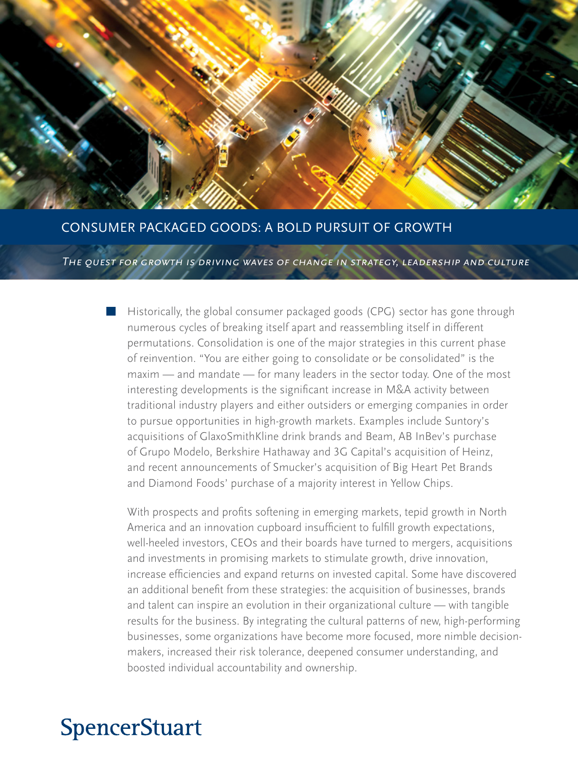

### CONSUMER PACKAGED GOODS: A BOLD PURSUIT OF GROWTH

*The quest for growth is driving waves of change in strategy, leadership and culture*

Historically, the global consumer packaged goods (CPG) sector has gone through numerous cycles of breaking itself apart and reassembling itself in different permutations. Consolidation is one of the major strategies in this current phase of reinvention. "You are either going to consolidate or be consolidated" is the maxim — and mandate — for many leaders in the sector today. One of the most interesting developments is the significant increase in M&A activity between traditional industry players and either outsiders or emerging companies in order to pursue opportunities in high-growth markets. Examples include Suntory's acquisitions of GlaxoSmithKline drink brands and Beam, AB InBev's purchase of Grupo Modelo, Berkshire Hathaway and 3G Capital's acquisition of Heinz, and recent announcements of Smucker's acquisition of Big Heart Pet Brands and Diamond Foods' purchase of a majority interest in Yellow Chips.

With prospects and profits softening in emerging markets, tepid growth in North America and an innovation cupboard insufficient to fulfill growth expectations, well-heeled investors, CEOs and their boards have turned to mergers, acquisitions and investments in promising markets to stimulate growth, drive innovation, increase efficiencies and expand returns on invested capital. Some have discovered an additional benefit from these strategies: the acquisition of businesses, brands and talent can inspire an evolution in their organizational culture — with tangible results for the business. By integrating the cultural patterns of new, high-performing businesses, some organizations have become more focused, more nimble decisionmakers, increased their risk tolerance, deepened consumer understanding, and boosted individual accountability and ownership.

# **SpencerStuart**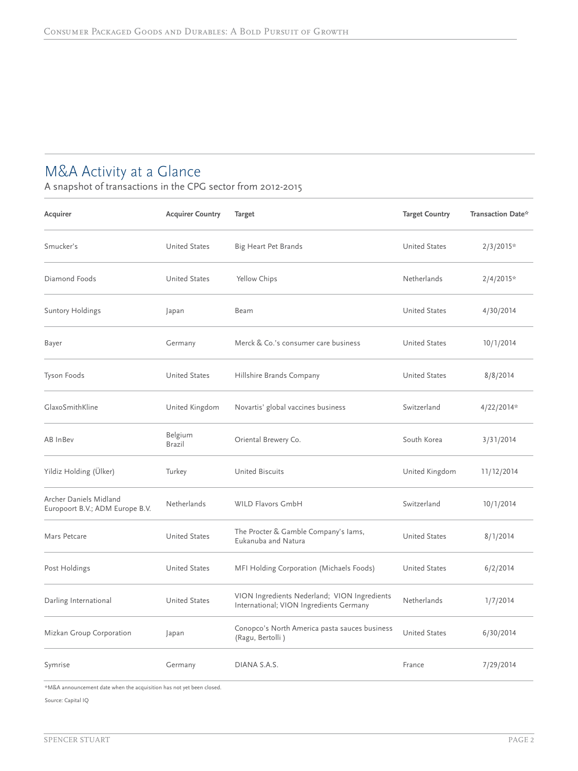# M&A Activity at a Glance

A snapshot of transactions in the CPG sector from 2012-2015

| Acquirer                                                  | <b>Acquirer Country</b> | <b>Target</b>                                                                           | <b>Target Country</b> | Transaction Date* |
|-----------------------------------------------------------|-------------------------|-----------------------------------------------------------------------------------------|-----------------------|-------------------|
| Smucker's                                                 | <b>United States</b>    | Big Heart Pet Brands                                                                    | <b>United States</b>  | $2/3/2015*$       |
| Diamond Foods                                             | <b>United States</b>    | Yellow Chips                                                                            | Netherlands           | $2/4/2015*$       |
| <b>Suntory Holdings</b>                                   | Japan                   | Beam                                                                                    | <b>United States</b>  | 4/30/2014         |
| Bayer                                                     | Germany                 | Merck & Co.'s consumer care business                                                    | <b>United States</b>  | 10/1/2014         |
| Tyson Foods                                               | <b>United States</b>    | Hillshire Brands Company                                                                | <b>United States</b>  | 8/8/2014          |
| GlaxoSmithKline                                           | United Kingdom          | Novartis' global vaccines business                                                      | Switzerland           | 4/22/2014*        |
| AB InBev                                                  | Belgium<br>Brazil       | Oriental Brewery Co.                                                                    | South Korea           | 3/31/2014         |
| Yildiz Holding (Ülker)                                    | Turkey                  | <b>United Biscuits</b>                                                                  | United Kingdom        | 11/12/2014        |
| Archer Daniels Midland<br>Europoort B.V.; ADM Europe B.V. | Netherlands             | WILD Flavors GmbH                                                                       | Switzerland           | 10/1/2014         |
| Mars Petcare                                              | <b>United States</b>    | The Procter & Gamble Company's lams,<br>Eukanuba and Natura                             | <b>United States</b>  | 8/1/2014          |
| Post Holdings                                             | <b>United States</b>    | MFI Holding Corporation (Michaels Foods)                                                | <b>United States</b>  | 6/2/2014          |
| Darling International                                     | <b>United States</b>    | VION Ingredients Nederland; VION Ingredients<br>International; VION Ingredients Germany | Netherlands           | 1/7/2014          |
| Mizkan Group Corporation                                  | Japan                   | Conopco's North America pasta sauces business<br>(Ragu, Bertolli)                       | <b>United States</b>  | 6/30/2014         |
| Symrise                                                   | Germany                 | DIANA S.A.S.                                                                            | France                | 7/29/2014         |

\*M&A announcement date when the acquisition has not yet been closed.

Source: Capital IQ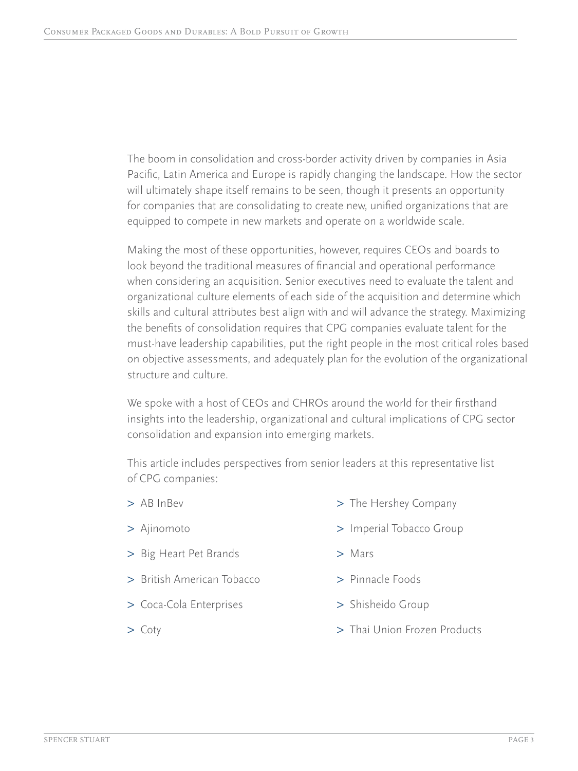The boom in consolidation and cross-border activity driven by companies in Asia Pacific, Latin America and Europe is rapidly changing the landscape. How the sector will ultimately shape itself remains to be seen, though it presents an opportunity for companies that are consolidating to create new, unified organizations that are equipped to compete in new markets and operate on a worldwide scale.

Making the most of these opportunities, however, requires CEOs and boards to look beyond the traditional measures of financial and operational performance when considering an acquisition. Senior executives need to evaluate the talent and organizational culture elements of each side of the acquisition and determine which skills and cultural attributes best align with and will advance the strategy. Maximizing the benefits of consolidation requires that CPG companies evaluate talent for the must-have leadership capabilities, put the right people in the most critical roles based on objective assessments, and adequately plan for the evolution of the organizational structure and culture.

We spoke with a host of CEOs and CHROs around the world for their firsthand insights into the leadership, organizational and cultural implications of CPG sector consolidation and expansion into emerging markets.

This article includes perspectives from senior leaders at this representative list of CPG companies:

- > AB InBev
- > Ajinomoto
- > Big Heart Pet Brands
- > British American Tobacco
- > Coca-Cola Enterprises
- > Coty
- > The Hershey Company
- > Imperial Tobacco Group
- > Mars
- > Pinnacle Foods
- > Shisheido Group
- > Thai Union Frozen Products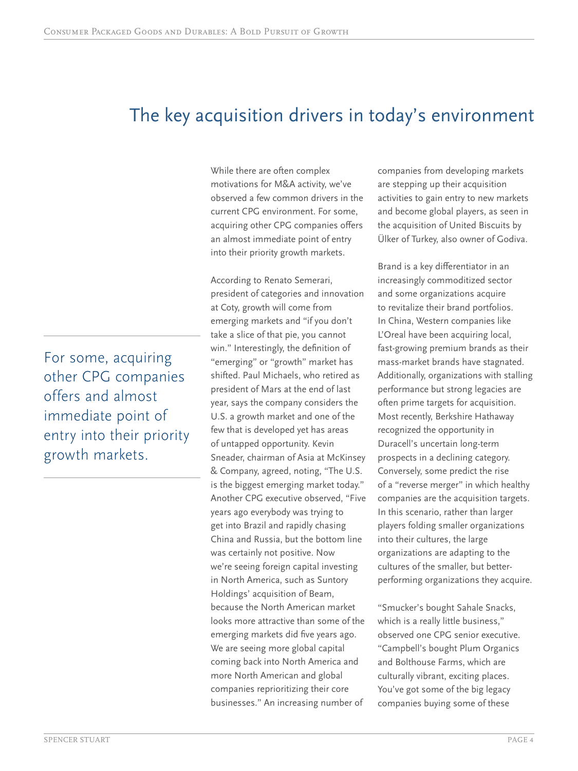# The key acquisition drivers in today's environment

While there are often complex motivations for M&A activity, we've observed a few common drivers in the current CPG environment. For some, acquiring other CPG companies offers an almost immediate point of entry into their priority growth markets.

According to Renato Semerari, president of categories and innovation at Coty, growth will come from emerging markets and "if you don't take a slice of that pie, you cannot win." Interestingly, the definition of "emerging" or "growth" market has shifted. Paul Michaels, who retired as president of Mars at the end of last year, says the company considers the U.S. a growth market and one of the few that is developed yet has areas of untapped opportunity. Kevin Sneader, chairman of Asia at McKinsey & Company, agreed, noting, "The U.S. is the biggest emerging market today." Another CPG executive observed, "Five years ago everybody was trying to get into Brazil and rapidly chasing China and Russia, but the bottom line was certainly not positive. Now we're seeing foreign capital investing in North America, such as Suntory Holdings' acquisition of Beam, because the North American market looks more attractive than some of the emerging markets did five years ago. We are seeing more global capital coming back into North America and more North American and global companies reprioritizing their core businesses." An increasing number of

companies from developing markets are stepping up their acquisition activities to gain entry to new markets and become global players, as seen in the acquisition of United Biscuits by Ülker of Turkey, also owner of Godiva.

Brand is a key differentiator in an increasingly commoditized sector and some organizations acquire to revitalize their brand portfolios. In China, Western companies like L'Oreal have been acquiring local, fast-growing premium brands as their mass-market brands have stagnated. Additionally, organizations with stalling performance but strong legacies are often prime targets for acquisition. Most recently, Berkshire Hathaway recognized the opportunity in Duracell's uncertain long-term prospects in a declining category. Conversely, some predict the rise of a "reverse merger" in which healthy companies are the acquisition targets. In this scenario, rather than larger players folding smaller organizations into their cultures, the large organizations are adapting to the cultures of the smaller, but betterperforming organizations they acquire.

"Smucker's bought Sahale Snacks, which is a really little business," observed one CPG senior executive. "Campbell's bought Plum Organics and Bolthouse Farms, which are culturally vibrant, exciting places. You've got some of the big legacy companies buying some of these

For some, acquiring other CPG companies offers and almost immediate point of entry into their priority growth markets.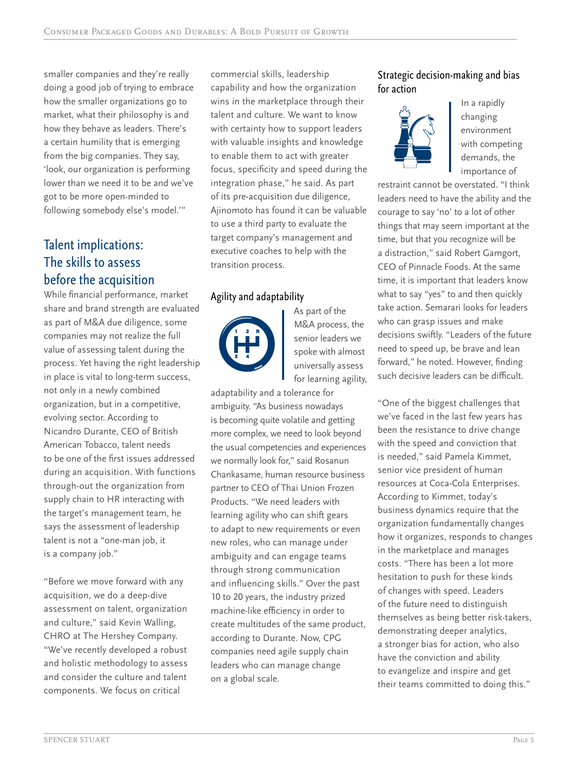smaller companies and they're really doing a good job of trying to embrace how the smaller organizations go to market, what their philosophy is and how they behave as leaders. There's a certain humility that is emerging from the big companies. They say, 'look, our organization is performing lower than we need it to be and we've got to be more open-minded to following somebody else's model.'"

# Talent implications: The skills to assess before the acquisition

While financial performance, market share and brand strength are evaluated as part of M&A due diligence, some companies may not realize the full value of assessing talent during the process. Yet having the right leadership in place is vital to long-term success, not only in a newly combined organization, but in a competitive, evolving sector. According to Nicandro Durante, CEO of British American Tobacco, talent needs to be one of the first issues addressed during an acquisition. With functions through-out the organization from supply chain to HR interacting with the target's management team, he says the assessment of leadership talent is not a "one-man job, it is a company job."

"Before we move forward with any acquisition, we do a deep-dive assessment on talent, organization and culture," said Kevin Walling, CHRO at The Hershey Company. "We've recently developed a robust and holistic methodology to assess and consider the culture and talent components. We focus on critical

commercial skills, leadership capability and how the organization wins in the marketplace through their talent and culture. We want to know with certainty how to support leaders with valuable insights and knowledge to enable them to act with greater focus, specificity and speed during the integration phase," he said. As part of its pre-acquisition due diligence, Ajinomoto has found it can be valuable to use a third party to evaluate the target company's management and executive coaches to help with the transition process.

### Agility and adaptability



As part of the M&A process, the senior leaders we spoke with almost universally assess for learning agility,

adaptability and a tolerance for ambiguity. "As business nowadays is becoming quite volatile and getting more complex, we need to look beyond the usual competencies and experiences we normally look for," said Rosanun Chankasame, human resource business partner to CEO of Thai Union Frozen Products. "We need leaders with learning agility who can shift gears to adapt to new requirements or even new roles, who can manage under ambiguity and can engage teams through strong communication and influencing skills." Over the past 10 to 20 years, the industry prized machine-like efficiency in order to create multitudes of the same product, according to Durante. Now, CPG companies need agile supply chain leaders who can manage change on a global scale.

### Strategic decision-making and bias for action



In a rapidly changing environment with competing demands, the importance of

restraint cannot be overstated. "I think leaders need to have the ability and the courage to say 'no' to a lot of other things that may seem important at the time, but that you recognize will be a distraction," said Robert Gamgort, CEO of Pinnacle Foods. At the same time, it is important that leaders know what to say "yes" to and then quickly take action. Semarari looks for leaders who can grasp issues and make decisions swiftly. "Leaders of the future need to speed up, be brave and lean forward," he noted. However, finding such decisive leaders can be difficult.

"One of the biggest challenges that we've faced in the last few years has been the resistance to drive change with the speed and conviction that is needed," said Pamela Kimmet, senior vice president of human resources at Coca-Cola Enterprises. According to Kimmet, today's business dynamics require that the organization fundamentally changes how it organizes, responds to changes in the marketplace and manages costs. "There has been a lot more hesitation to push for these kinds of changes with speed. Leaders of the future need to distinguish themselves as being better risk-takers, demonstrating deeper analytics, a stronger bias for action, who also have the conviction and ability to evangelize and inspire and get their teams committed to doing this."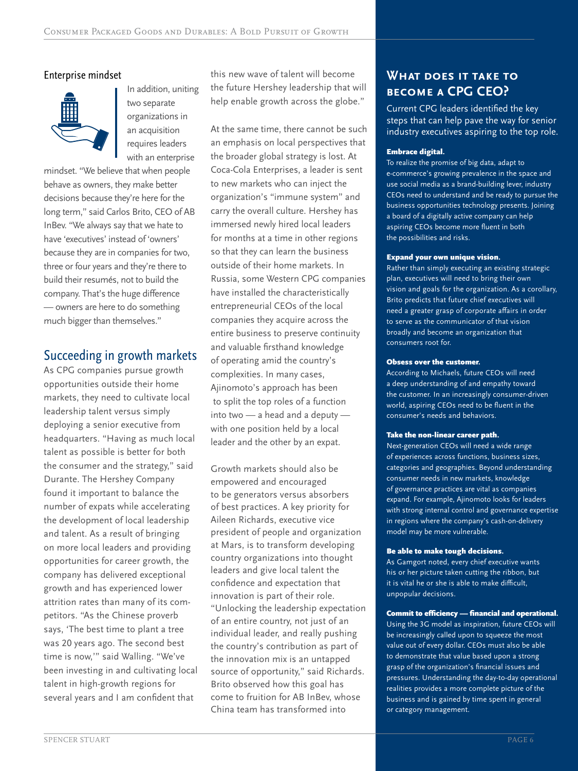### Enterprise mindset



In addition, uniting two separate organizations in an acquisition requires leaders with an enterprise

mindset. "We believe that when people behave as owners, they make better decisions because they're here for the long term," said Carlos Brito, CEO of AB InBev. "We always say that we hate to have 'executives' instead of 'owners' because they are in companies for two, three or four years and they're there to build their resumés, not to build the company. That's the huge difference — owners are here to do something much bigger than themselves."

## Succeeding in growth markets

As CPG companies pursue growth opportunities outside their home markets, they need to cultivate local leadership talent versus simply deploying a senior executive from headquarters. "Having as much local talent as possible is better for both the consumer and the strategy," said Durante. The Hershey Company found it important to balance the number of expats while accelerating the development of local leadership and talent. As a result of bringing on more local leaders and providing opportunities for career growth, the company has delivered exceptional growth and has experienced lower attrition rates than many of its competitors. "As the Chinese proverb says, 'The best time to plant a tree was 20 years ago. The second best time is now,'" said Walling. "We've been investing in and cultivating local talent in high-growth regions for several years and I am confident that

this new wave of talent will become the future Hershey leadership that will help enable growth across the globe."

At the same time, there cannot be such an emphasis on local perspectives that the broader global strategy is lost. At Coca-Cola Enterprises, a leader is sent to new markets who can inject the organization's "immune system" and carry the overall culture. Hershey has immersed newly hired local leaders for months at a time in other regions so that they can learn the business outside of their home markets. In Russia, some Western CPG companies have installed the characteristically entrepreneurial CEOs of the local companies they acquire across the entire business to preserve continuity and valuable firsthand knowledge of operating amid the country's complexities. In many cases, Ajinomoto's approach has been to split the top roles of a function into two — a head and a deputy with one position held by a local leader and the other by an expat.

Growth markets should also be empowered and encouraged to be generators versus absorbers of best practices. A key priority for Aileen Richards, executive vice president of people and organization at Mars, is to transform developing country organizations into thought leaders and give local talent the confidence and expectation that innovation is part of their role. "Unlocking the leadership expectation of an entire country, not just of an individual leader, and really pushing the country's contribution as part of the innovation mix is an untapped source of opportunity," said Richards. Brito observed how this goal has come to fruition for AB InBev, whose China team has transformed into

### **What does it take to become a CPG CEO?**

Current CPG leaders identified the key steps that can help pave the way for senior industry executives aspiring to the top role.

#### Embrace digital.

To realize the promise of big data, adapt to e-commerce's growing prevalence in the space and use social media as a brand-building lever, industry CEOs need to understand and be ready to pursue the business opportunities technology presents. Joining a board of a digitally active company can help aspiring CEOs become more fluent in both the possibilities and risks.

#### Expand your own unique vision.

Rather than simply executing an existing strategic plan, executives will need to bring their own vision and goals for the organization. As a corollary, Brito predicts that future chief executives will need a greater grasp of corporate affairs in order to serve as the communicator of that vision broadly and become an organization that consumers root for.

#### Obsess over the customer.

According to Michaels, future CEOs will need a deep understanding of and empathy toward the customer. In an increasingly consumer-driven world, aspiring CEOs need to be fluent in the consumer's needs and behaviors.

#### Take the non-linear career path.

Next-generation CEOs will need a wide range of experiences across functions, business sizes, categories and geographies. Beyond understanding consumer needs in new markets, knowledge of governance practices are vital as companies expand. For example, Ajinomoto looks for leaders with strong internal control and governance expertise in regions where the company's cash-on-delivery model may be more vulnerable.

#### Be able to make tough decisions.

As Gamgort noted, every chief executive wants his or her picture taken cutting the ribbon, but it is vital he or she is able to make difficult, unpopular decisions.

#### Commit to efficiency — financial and operational.

Using the 3G model as inspiration, future CEOs will be increasingly called upon to squeeze the most value out of every dollar. CEOs must also be able to demonstrate that value based upon a strong grasp of the organization's financial issues and pressures. Understanding the day-to-day operational realities provides a more complete picture of the business and is gained by time spent in general or category management.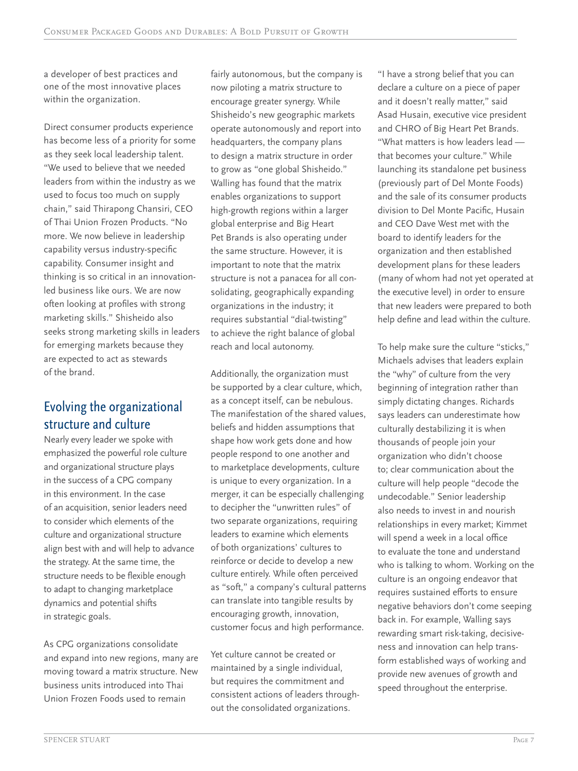a developer of best practices and one of the most innovative places within the organization.

Direct consumer products experience has become less of a priority for some as they seek local leadership talent. "We used to believe that we needed leaders from within the industry as we used to focus too much on supply chain," said Thirapong Chansiri, CEO of Thai Union Frozen Products. "No more. We now believe in leadership capability versus industry-specific capability. Consumer insight and thinking is so critical in an innovationled business like ours. We are now often looking at profiles with strong marketing skills." Shisheido also seeks strong marketing skills in leaders for emerging markets because they are expected to act as stewards of the brand.

## Evolving the organizational structure and culture

Nearly every leader we spoke with emphasized the powerful role culture and organizational structure plays in the success of a CPG company in this environment. In the case of an acquisition, senior leaders need to consider which elements of the culture and organizational structure align best with and will help to advance the strategy. At the same time, the structure needs to be flexible enough to adapt to changing marketplace dynamics and potential shifts in strategic goals.

As CPG organizations consolidate and expand into new regions, many are moving toward a matrix structure. New business units introduced into Thai Union Frozen Foods used to remain

fairly autonomous, but the company is now piloting a matrix structure to encourage greater synergy. While Shisheido's new geographic markets operate autonomously and report into headquarters, the company plans to design a matrix structure in order to grow as "one global Shisheido." Walling has found that the matrix enables organizations to support high-growth regions within a larger global enterprise and Big Heart Pet Brands is also operating under the same structure. However, it is important to note that the matrix structure is not a panacea for all consolidating, geographically expanding organizations in the industry; it requires substantial "dial-twisting" to achieve the right balance of global reach and local autonomy.

Additionally, the organization must be supported by a clear culture, which, as a concept itself, can be nebulous. The manifestation of the shared values, beliefs and hidden assumptions that shape how work gets done and how people respond to one another and to marketplace developments, culture is unique to every organization. In a merger, it can be especially challenging to decipher the "unwritten rules" of two separate organizations, requiring leaders to examine which elements of both organizations' cultures to reinforce or decide to develop a new culture entirely. While often perceived as "soft," a company's cultural patterns can translate into tangible results by encouraging growth, innovation, customer focus and high performance.

Yet culture cannot be created or maintained by a single individual, but requires the commitment and consistent actions of leaders throughout the consolidated organizations.

"I have a strong belief that you can declare a culture on a piece of paper and it doesn't really matter," said Asad Husain, executive vice president and CHRO of Big Heart Pet Brands. "What matters is how leaders lead that becomes your culture." While launching its standalone pet business (previously part of Del Monte Foods) and the sale of its consumer products division to Del Monte Pacific, Husain and CEO Dave West met with the board to identify leaders for the organization and then established development plans for these leaders (many of whom had not yet operated at the executive level) in order to ensure that new leaders were prepared to both help define and lead within the culture.

To help make sure the culture "sticks," Michaels advises that leaders explain the "why" of culture from the very beginning of integration rather than simply dictating changes. Richards says leaders can underestimate how culturally destabilizing it is when thousands of people join your organization who didn't choose to; clear communication about the culture will help people "decode the undecodable." Senior leadership also needs to invest in and nourish relationships in every market; Kimmet will spend a week in a local office to evaluate the tone and understand who is talking to whom. Working on the culture is an ongoing endeavor that requires sustained efforts to ensure negative behaviors don't come seeping back in. For example, Walling says rewarding smart risk-taking, decisiveness and innovation can help transform established ways of working and provide new avenues of growth and speed throughout the enterprise.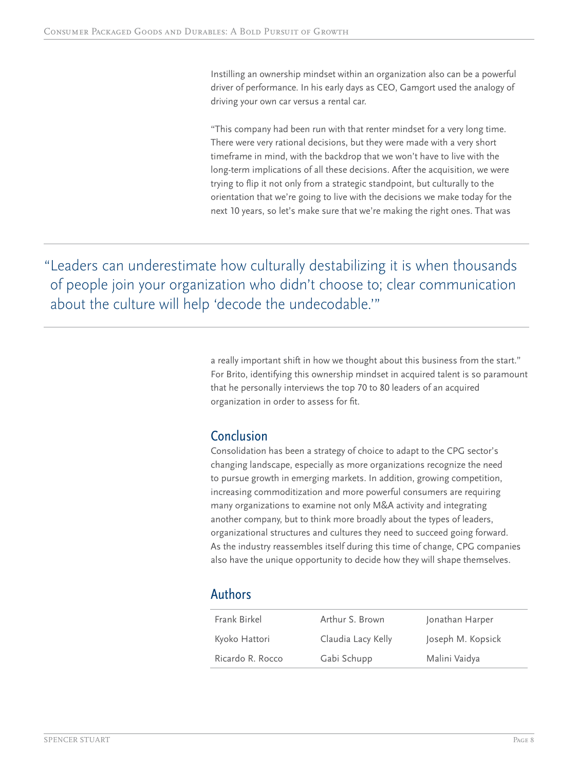Instilling an ownership mindset within an organization also can be a powerful driver of performance. In his early days as CEO, Gamgort used the analogy of driving your own car versus a rental car.

"This company had been run with that renter mindset for a very long time. There were very rational decisions, but they were made with a very short timeframe in mind, with the backdrop that we won't have to live with the long-term implications of all these decisions. After the acquisition, we were trying to flip it not only from a strategic standpoint, but culturally to the orientation that we're going to live with the decisions we make today for the next 10 years, so let's make sure that we're making the right ones. That was

"Leaders can underestimate how culturally destabilizing it is when thousands of people join your organization who didn't choose to; clear communication about the culture will help 'decode the undecodable.'"

> a really important shift in how we thought about this business from the start." For Brito, identifying this ownership mindset in acquired talent is so paramount that he personally interviews the top 70 to 80 leaders of an acquired organization in order to assess for fit.

### **Conclusion**

Consolidation has been a strategy of choice to adapt to the CPG sector's changing landscape, especially as more organizations recognize the need to pursue growth in emerging markets. In addition, growing competition, increasing commoditization and more powerful consumers are requiring many organizations to examine not only M&A activity and integrating another company, but to think more broadly about the types of leaders, organizational structures and cultures they need to succeed going forward. As the industry reassembles itself during this time of change, CPG companies also have the unique opportunity to decide how they will shape themselves.

### Authors

| Frank Birkel     | Arthur S. Brown    |                   |
|------------------|--------------------|-------------------|
|                  |                    | Jonathan Harper   |
| Kyoko Hattori    | Claudia Lacy Kelly | Joseph M. Kopsick |
| Ricardo R. Rocco | Gabi Schupp        | Malini Vaidya     |